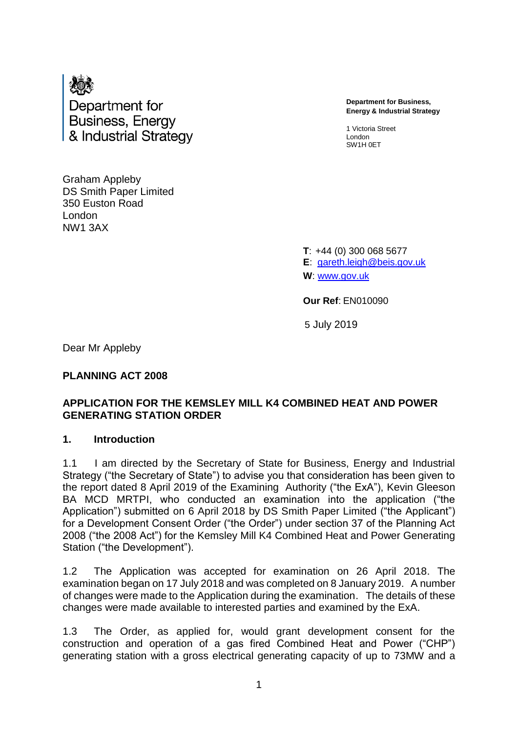

**Department for Business, Energy & Industrial Strategy**

1 Victoria Street London SW1H 0ET

Graham Appleby DS Smith Paper Limited 350 Euston Road London NW1 3AX

> **T**: +44 (0) 300 068 5677 **E**: [gareth.leigh@beis.gov.uk](mailto:gareth.leigh@beis.gov.uk) **W**: [www.gov.uk](http://www.gov.uk/)

**Our Ref**: EN010090

5 July 2019

Dear Mr Appleby

**PLANNING ACT 2008** 

### **APPLICATION FOR THE KEMSLEY MILL K4 COMBINED HEAT AND POWER GENERATING STATION ORDER**

### **1. Introduction**

1.1 I am directed by the Secretary of State for Business, Energy and Industrial Strategy ("the Secretary of State") to advise you that consideration has been given to the report dated 8 April 2019 of the Examining Authority ("the ExA"), Kevin Gleeson BA MCD MRTPI, who conducted an examination into the application ("the Application") submitted on 6 April 2018 by DS Smith Paper Limited ("the Applicant") for a Development Consent Order ("the Order") under section 37 of the Planning Act 2008 ("the 2008 Act") for the Kemsley Mill K4 Combined Heat and Power Generating Station ("the Development").

1.2 The Application was accepted for examination on 26 April 2018. The examination began on 17 July 2018 and was completed on 8 January 2019. A number of changes were made to the Application during the examination. The details of these changes were made available to interested parties and examined by the ExA.

1.3 The Order, as applied for, would grant development consent for the construction and operation of a gas fired Combined Heat and Power ("CHP") generating station with a gross electrical generating capacity of up to 73MW and a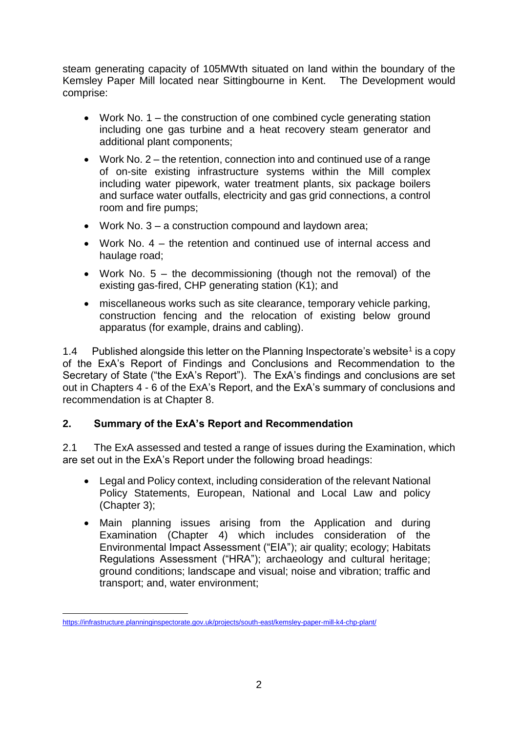steam generating capacity of 105MWth situated on land within the boundary of the Kemsley Paper Mill located near Sittingbourne in Kent. The Development would comprise:

- Work No. 1 the construction of one combined cycle generating station including one gas turbine and a heat recovery steam generator and additional plant components;
- Work No. 2 the retention, connection into and continued use of a range of on-site existing infrastructure systems within the Mill complex including water pipework, water treatment plants, six package boilers and surface water outfalls, electricity and gas grid connections, a control room and fire pumps;
- Work No. 3 a construction compound and laydown area;
- Work No.  $4$  the retention and continued use of internal access and haulage road;
- Work No.  $5 -$  the decommissioning (though not the removal) of the existing gas-fired, CHP generating station (K1); and
- miscellaneous works such as site clearance, temporary vehicle parking, construction fencing and the relocation of existing below ground apparatus (for example, drains and cabling).

1.4 Published alongside this letter on the Planning Inspectorate's website<sup>1</sup> is a copy of the ExA's Report of Findings and Conclusions and Recommendation to the Secretary of State ("the ExA's Report"). The ExA's findings and conclusions are set out in Chapters 4 - 6 of the ExA's Report, and the ExA's summary of conclusions and recommendation is at Chapter 8.

# **2. Summary of the ExA's Report and Recommendation**

2.1 The ExA assessed and tested a range of issues during the Examination, which are set out in the ExA's Report under the following broad headings:

- Legal and Policy context, including consideration of the relevant National Policy Statements, European, National and Local Law and policy (Chapter 3);
- Main planning issues arising from the Application and during Examination (Chapter 4) which includes consideration of the Environmental Impact Assessment ("EIA"); air quality; ecology; Habitats Regulations Assessment ("HRA"); archaeology and cultural heritage; ground conditions; landscape and visual; noise and vibration; traffic and transport; and, water environment;

<sup>1</sup> <https://infrastructure.planninginspectorate.gov.uk/projects/south-east/kemsley-paper-mill-k4-chp-plant/>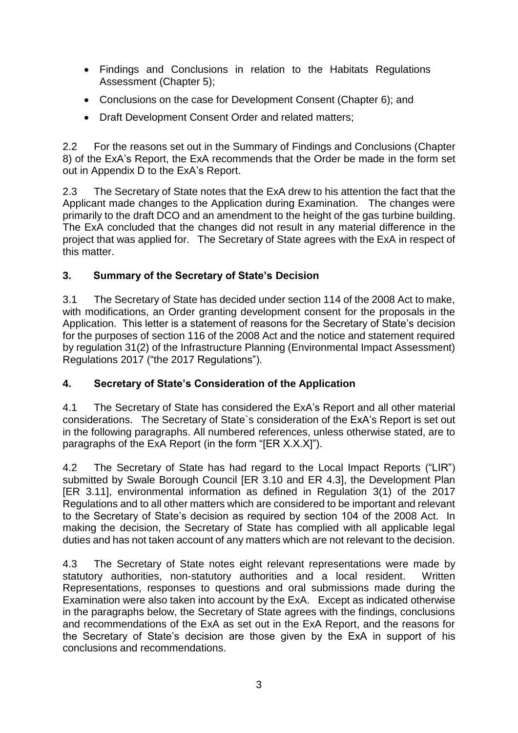- Findings and Conclusions in relation to the Habitats Regulations Assessment (Chapter 5);
- Conclusions on the case for Development Consent (Chapter 6); and
- Draft Development Consent Order and related matters;

2.2 For the reasons set out in the Summary of Findings and Conclusions (Chapter 8) of the ExA's Report, the ExA recommends that the Order be made in the form set out in Appendix D to the ExA's Report.

2.3 The Secretary of State notes that the ExA drew to his attention the fact that the Applicant made changes to the Application during Examination. The changes were primarily to the draft DCO and an amendment to the height of the gas turbine building. The ExA concluded that the changes did not result in any material difference in the project that was applied for. The Secretary of State agrees with the ExA in respect of this matter.

# **3. Summary of the Secretary of State's Decision**

3.1 The Secretary of State has decided under section 114 of the 2008 Act to make, with modifications, an Order granting development consent for the proposals in the Application. This letter is a statement of reasons for the Secretary of State's decision for the purposes of section 116 of the 2008 Act and the notice and statement required by regulation 31(2) of the Infrastructure Planning (Environmental Impact Assessment) Regulations 2017 ("the 2017 Regulations").

# **4. Secretary of State's Consideration of the Application**

4.1 The Secretary of State has considered the ExA's Report and all other material considerations. The Secretary of State`s consideration of the ExA's Report is set out in the following paragraphs. All numbered references, unless otherwise stated, are to paragraphs of the ExA Report (in the form "[ER X.X.X]").

4.2 The Secretary of State has had regard to the Local Impact Reports ("LIR") submitted by Swale Borough Council [ER 3.10 and ER 4.3], the Development Plan [ER 3.11], environmental information as defined in Regulation 3(1) of the 2017 Regulations and to all other matters which are considered to be important and relevant to the Secretary of State's decision as required by section 104 of the 2008 Act. In making the decision, the Secretary of State has complied with all applicable legal duties and has not taken account of any matters which are not relevant to the decision.

4.3 The Secretary of State notes eight relevant representations were made by statutory authorities, non-statutory authorities and a local resident. Written Representations, responses to questions and oral submissions made during the Examination were also taken into account by the ExA. Except as indicated otherwise in the paragraphs below, the Secretary of State agrees with the findings, conclusions and recommendations of the ExA as set out in the ExA Report, and the reasons for the Secretary of State's decision are those given by the ExA in support of his conclusions and recommendations.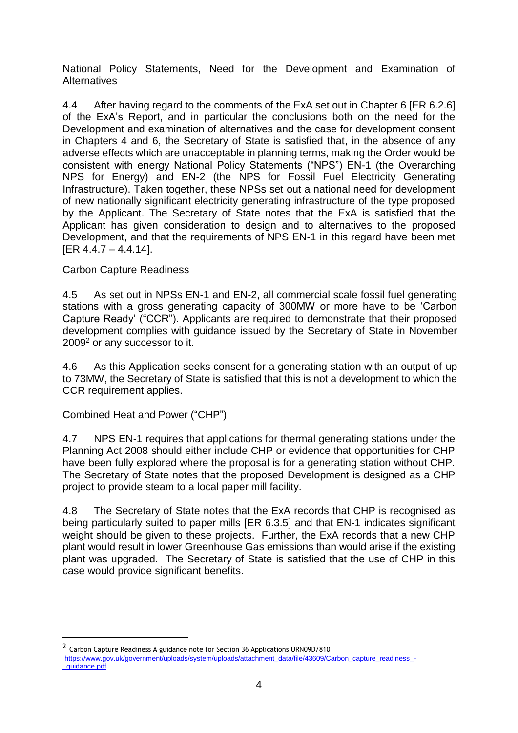### National Policy Statements, Need for the Development and Examination of Alternatives

4.4 After having regard to the comments of the ExA set out in Chapter 6 [ER 6.2.6] of the ExA's Report, and in particular the conclusions both on the need for the Development and examination of alternatives and the case for development consent in Chapters 4 and 6, the Secretary of State is satisfied that, in the absence of any adverse effects which are unacceptable in planning terms, making the Order would be consistent with energy National Policy Statements ("NPS") EN-1 (the Overarching NPS for Energy) and EN-2 (the NPS for Fossil Fuel Electricity Generating Infrastructure). Taken together, these NPSs set out a national need for development of new nationally significant electricity generating infrastructure of the type proposed by the Applicant. The Secretary of State notes that the ExA is satisfied that the Applicant has given consideration to design and to alternatives to the proposed Development, and that the requirements of NPS EN-1 in this regard have been met [ER 4.4.7 – 4.4.14].

## Carbon Capture Readiness

4.5 As set out in NPSs EN-1 and EN-2, all commercial scale fossil fuel generating stations with a gross generating capacity of 300MW or more have to be 'Carbon Capture Ready' ("CCR"). Applicants are required to demonstrate that their proposed development complies with guidance issued by the Secretary of State in November 2009<sup>2</sup> or any successor to it.

4.6 As this Application seeks consent for a generating station with an output of up to 73MW, the Secretary of State is satisfied that this is not a development to which the CCR requirement applies.

### Combined Heat and Power ("CHP")

1

4.7 NPS EN-1 requires that applications for thermal generating stations under the Planning Act 2008 should either include CHP or evidence that opportunities for CHP have been fully explored where the proposal is for a generating station without CHP. The Secretary of State notes that the proposed Development is designed as a CHP project to provide steam to a local paper mill facility.

4.8 The Secretary of State notes that the ExA records that CHP is recognised as being particularly suited to paper mills [ER 6.3.5] and that EN-1 indicates significant weight should be given to these projects. Further, the ExA records that a new CHP plant would result in lower Greenhouse Gas emissions than would arise if the existing plant was upgraded. The Secretary of State is satisfied that the use of CHP in this case would provide significant benefits.

<sup>&</sup>lt;sup>2</sup> Carbon Capture Readiness A guidance note for Section 36 Applications URN09D/810 [https://www.gov.uk/government/uploads/system/uploads/attachment\\_data/file/43609/Carbon\\_capture\\_readiness\\_](https://www.gov.uk/government/uploads/system/uploads/attachment_data/file/43609/Carbon_capture_readiness_-_guidance.pdf) quidance.pdf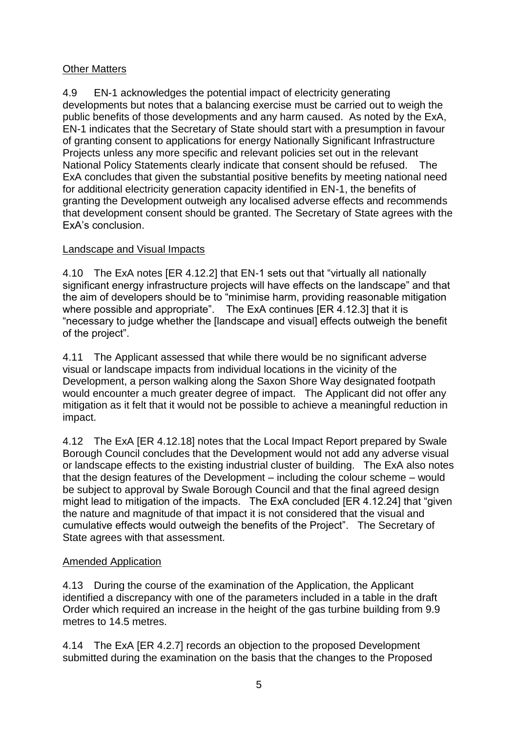## Other Matters

4.9 EN-1 acknowledges the potential impact of electricity generating developments but notes that a balancing exercise must be carried out to weigh the public benefits of those developments and any harm caused. As noted by the ExA, EN-1 indicates that the Secretary of State should start with a presumption in favour of granting consent to applications for energy Nationally Significant Infrastructure Projects unless any more specific and relevant policies set out in the relevant National Policy Statements clearly indicate that consent should be refused. The ExA concludes that given the substantial positive benefits by meeting national need for additional electricity generation capacity identified in EN-1, the benefits of granting the Development outweigh any localised adverse effects and recommends that development consent should be granted. The Secretary of State agrees with the ExA's conclusion.

## Landscape and Visual Impacts

4.10 The ExA notes [ER 4.12.2] that EN-1 sets out that "virtually all nationally significant energy infrastructure projects will have effects on the landscape" and that the aim of developers should be to "minimise harm, providing reasonable mitigation where possible and appropriate". The ExA continues [ER 4.12.3] that it is "necessary to judge whether the [landscape and visual] effects outweigh the benefit of the project".

4.11 The Applicant assessed that while there would be no significant adverse visual or landscape impacts from individual locations in the vicinity of the Development, a person walking along the Saxon Shore Way designated footpath would encounter a much greater degree of impact. The Applicant did not offer any mitigation as it felt that it would not be possible to achieve a meaningful reduction in impact.

4.12 The ExA [ER 4.12.18] notes that the Local Impact Report prepared by Swale Borough Council concludes that the Development would not add any adverse visual or landscape effects to the existing industrial cluster of building. The ExA also notes that the design features of the Development – including the colour scheme – would be subject to approval by Swale Borough Council and that the final agreed design might lead to mitigation of the impacts. The ExA concluded [ER 4.12.24] that "given the nature and magnitude of that impact it is not considered that the visual and cumulative effects would outweigh the benefits of the Project". The Secretary of State agrees with that assessment.

### Amended Application

4.13 During the course of the examination of the Application, the Applicant identified a discrepancy with one of the parameters included in a table in the draft Order which required an increase in the height of the gas turbine building from 9.9 metres to 14.5 metres.

4.14 The ExA [ER 4.2.7] records an objection to the proposed Development submitted during the examination on the basis that the changes to the Proposed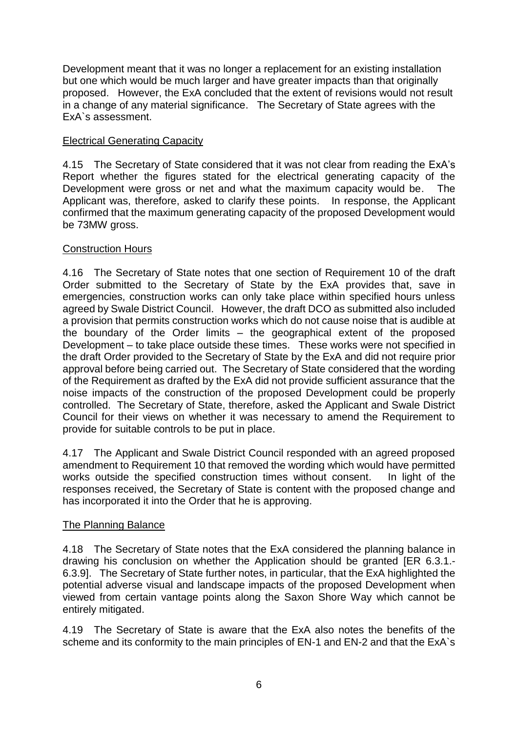Development meant that it was no longer a replacement for an existing installation but one which would be much larger and have greater impacts than that originally proposed. However, the ExA concluded that the extent of revisions would not result in a change of any material significance. The Secretary of State agrees with the ExA`s assessment.

### Electrical Generating Capacity

4.15 The Secretary of State considered that it was not clear from reading the ExA's Report whether the figures stated for the electrical generating capacity of the Development were gross or net and what the maximum capacity would be. The Applicant was, therefore, asked to clarify these points. In response, the Applicant confirmed that the maximum generating capacity of the proposed Development would be 73MW gross.

### Construction Hours

4.16 The Secretary of State notes that one section of Requirement 10 of the draft Order submitted to the Secretary of State by the ExA provides that, save in emergencies, construction works can only take place within specified hours unless agreed by Swale District Council. However, the draft DCO as submitted also included a provision that permits construction works which do not cause noise that is audible at the boundary of the Order limits – the geographical extent of the proposed Development – to take place outside these times. These works were not specified in the draft Order provided to the Secretary of State by the ExA and did not require prior approval before being carried out. The Secretary of State considered that the wording of the Requirement as drafted by the ExA did not provide sufficient assurance that the noise impacts of the construction of the proposed Development could be properly controlled. The Secretary of State, therefore, asked the Applicant and Swale District Council for their views on whether it was necessary to amend the Requirement to provide for suitable controls to be put in place.

4.17 The Applicant and Swale District Council responded with an agreed proposed amendment to Requirement 10 that removed the wording which would have permitted works outside the specified construction times without consent. In light of the responses received, the Secretary of State is content with the proposed change and has incorporated it into the Order that he is approving.

### The Planning Balance

4.18 The Secretary of State notes that the ExA considered the planning balance in drawing his conclusion on whether the Application should be granted [ER 6.3.1.- 6.3.9]. The Secretary of State further notes, in particular, that the ExA highlighted the potential adverse visual and landscape impacts of the proposed Development when viewed from certain vantage points along the Saxon Shore Way which cannot be entirely mitigated.

4.19 The Secretary of State is aware that the ExA also notes the benefits of the scheme and its conformity to the main principles of EN-1 and EN-2 and that the ExA`s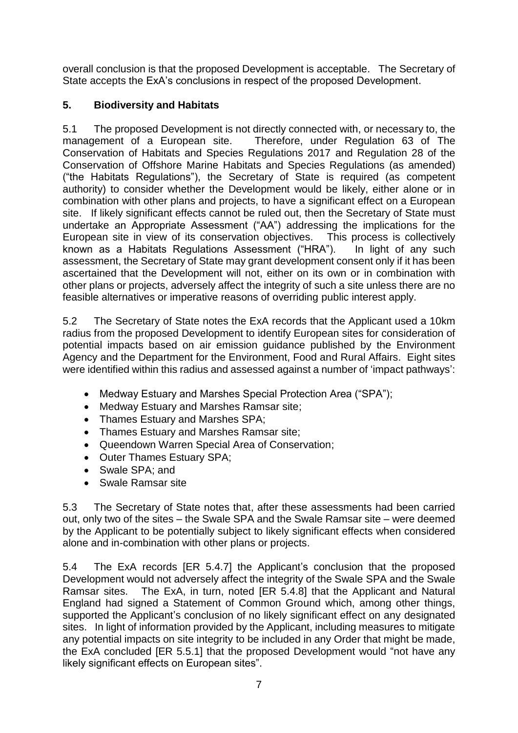overall conclusion is that the proposed Development is acceptable. The Secretary of State accepts the ExA's conclusions in respect of the proposed Development.

# **5. Biodiversity and Habitats**

5.1 The proposed Development is not directly connected with, or necessary to, the management of a European site. Therefore, under Regulation 63 of The Conservation of Habitats and Species Regulations 2017 and Regulation 28 of the Conservation of Offshore Marine Habitats and Species Regulations (as amended) ("the Habitats Regulations"), the Secretary of State is required (as competent authority) to consider whether the Development would be likely, either alone or in combination with other plans and projects, to have a significant effect on a European site. If likely significant effects cannot be ruled out, then the Secretary of State must undertake an Appropriate Assessment ("AA") addressing the implications for the European site in view of its conservation objectives. This process is collectively known as a Habitats Regulations Assessment ("HRA"). In light of any such assessment, the Secretary of State may grant development consent only if it has been ascertained that the Development will not, either on its own or in combination with other plans or projects, adversely affect the integrity of such a site unless there are no feasible alternatives or imperative reasons of overriding public interest apply.

5.2 The Secretary of State notes the ExA records that the Applicant used a 10km radius from the proposed Development to identify European sites for consideration of potential impacts based on air emission guidance published by the Environment Agency and the Department for the Environment, Food and Rural Affairs. Eight sites were identified within this radius and assessed against a number of 'impact pathways':

- Medway Estuary and Marshes Special Protection Area ("SPA");
- Medway Estuary and Marshes Ramsar site;
- Thames Estuary and Marshes SPA;
- Thames Estuary and Marshes Ramsar site;
- Queendown Warren Special Area of Conservation;
- Outer Thames Estuary SPA;
- Swale SPA; and
- Swale Ramsar site

5.3 The Secretary of State notes that, after these assessments had been carried out, only two of the sites – the Swale SPA and the Swale Ramsar site – were deemed by the Applicant to be potentially subject to likely significant effects when considered alone and in-combination with other plans or projects.

5.4 The ExA records [ER 5.4.7] the Applicant's conclusion that the proposed Development would not adversely affect the integrity of the Swale SPA and the Swale Ramsar sites. The ExA, in turn, noted [ER 5.4.8] that the Applicant and Natural England had signed a Statement of Common Ground which, among other things, supported the Applicant's conclusion of no likely significant effect on any designated sites. In light of information provided by the Applicant, including measures to mitigate any potential impacts on site integrity to be included in any Order that might be made, the ExA concluded [ER 5.5.1] that the proposed Development would "not have any likely significant effects on European sites".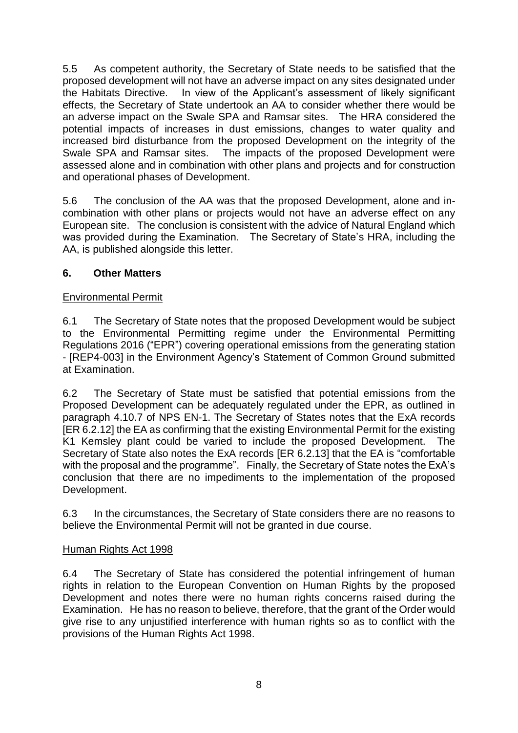5.5 As competent authority, the Secretary of State needs to be satisfied that the proposed development will not have an adverse impact on any sites designated under the Habitats Directive. In view of the Applicant's assessment of likely significant effects, the Secretary of State undertook an AA to consider whether there would be an adverse impact on the Swale SPA and Ramsar sites. The HRA considered the potential impacts of increases in dust emissions, changes to water quality and increased bird disturbance from the proposed Development on the integrity of the Swale SPA and Ramsar sites. The impacts of the proposed Development were assessed alone and in combination with other plans and projects and for construction and operational phases of Development.

5.6 The conclusion of the AA was that the proposed Development, alone and incombination with other plans or projects would not have an adverse effect on any European site. The conclusion is consistent with the advice of Natural England which was provided during the Examination. The Secretary of State's HRA, including the AA, is published alongside this letter.

### **6. Other Matters**

## Environmental Permit

6.1 The Secretary of State notes that the proposed Development would be subject to the Environmental Permitting regime under the Environmental Permitting Regulations 2016 ("EPR") covering operational emissions from the generating station - [REP4-003] in the Environment Agency's Statement of Common Ground submitted at Examination.

6.2 The Secretary of State must be satisfied that potential emissions from the Proposed Development can be adequately regulated under the EPR, as outlined in paragraph 4.10.7 of NPS EN-1. The Secretary of States notes that the ExA records [ER 6.2.12] the EA as confirming that the existing Environmental Permit for the existing K1 Kemsley plant could be varied to include the proposed Development. The Secretary of State also notes the ExA records [ER 6.2.13] that the EA is "comfortable with the proposal and the programme". Finally, the Secretary of State notes the ExA's conclusion that there are no impediments to the implementation of the proposed Development.

6.3 In the circumstances, the Secretary of State considers there are no reasons to believe the Environmental Permit will not be granted in due course.

### Human Rights Act 1998

6.4 The Secretary of State has considered the potential infringement of human rights in relation to the European Convention on Human Rights by the proposed Development and notes there were no human rights concerns raised during the Examination. He has no reason to believe, therefore, that the grant of the Order would give rise to any unjustified interference with human rights so as to conflict with the provisions of the Human Rights Act 1998.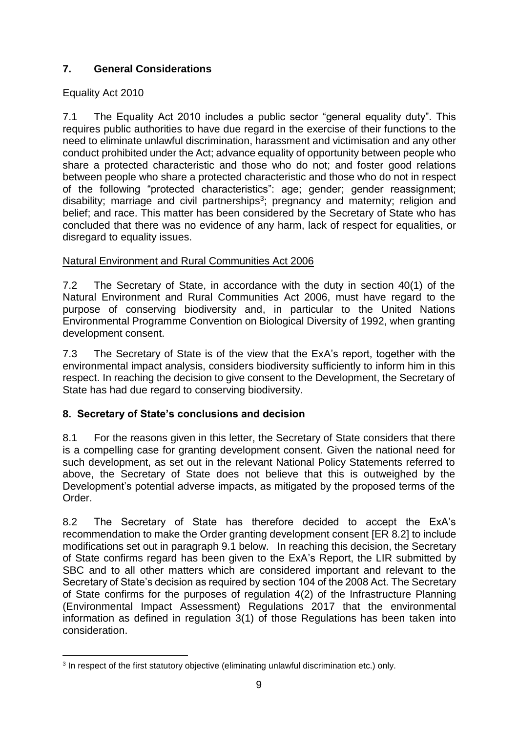# **7. General Considerations**

### Equality Act 2010

7.1 The Equality Act 2010 includes a public sector "general equality duty". This requires public authorities to have due regard in the exercise of their functions to the need to eliminate unlawful discrimination, harassment and victimisation and any other conduct prohibited under the Act; advance equality of opportunity between people who share a protected characteristic and those who do not; and foster good relations between people who share a protected characteristic and those who do not in respect of the following "protected characteristics": age; gender; gender reassignment; disability; marriage and civil partnerships<sup>3</sup>; pregnancy and maternity; religion and belief; and race. This matter has been considered by the Secretary of State who has concluded that there was no evidence of any harm, lack of respect for equalities, or disregard to equality issues.

## Natural Environment and Rural Communities Act 2006

7.2 The Secretary of State, in accordance with the duty in section 40(1) of the Natural Environment and Rural Communities Act 2006, must have regard to the purpose of conserving biodiversity and, in particular to the United Nations Environmental Programme Convention on Biological Diversity of 1992, when granting development consent.

7.3 The Secretary of State is of the view that the ExA's report, together with the environmental impact analysis, considers biodiversity sufficiently to inform him in this respect. In reaching the decision to give consent to the Development, the Secretary of State has had due regard to conserving biodiversity.

# **8. Secretary of State's conclusions and decision**

8.1 For the reasons given in this letter, the Secretary of State considers that there is a compelling case for granting development consent. Given the national need for such development, as set out in the relevant National Policy Statements referred to above, the Secretary of State does not believe that this is outweighed by the Development's potential adverse impacts, as mitigated by the proposed terms of the Order.

8.2 The Secretary of State has therefore decided to accept the ExA's recommendation to make the Order granting development consent [ER 8.2] to include modifications set out in paragraph 9.1 below. In reaching this decision, the Secretary of State confirms regard has been given to the ExA's Report, the LIR submitted by SBC and to all other matters which are considered important and relevant to the Secretary of State's decision as required by section 104 of the 2008 Act. The Secretary of State confirms for the purposes of regulation 4(2) of the Infrastructure Planning (Environmental Impact Assessment) Regulations 2017 that the environmental information as defined in regulation 3(1) of those Regulations has been taken into consideration.

<sup>1</sup> 3 In respect of the first statutory objective (eliminating unlawful discrimination etc.) only.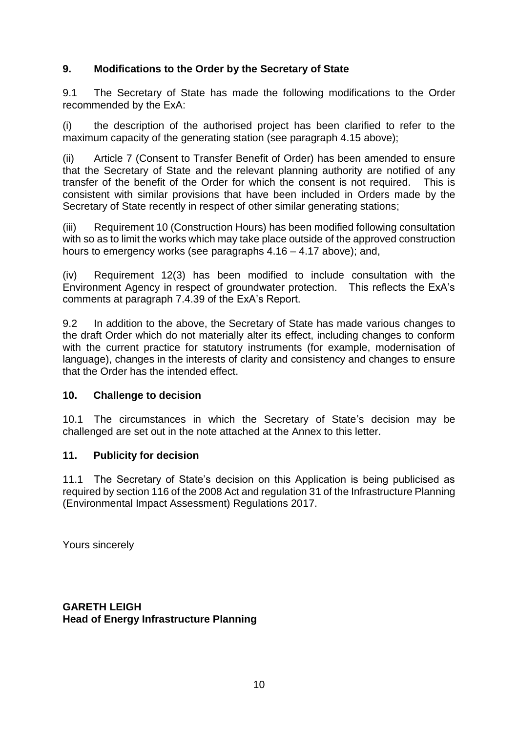## **9. Modifications to the Order by the Secretary of State**

9.1 The Secretary of State has made the following modifications to the Order recommended by the ExA:

(i) the description of the authorised project has been clarified to refer to the maximum capacity of the generating station (see paragraph 4.15 above);

(ii) Article 7 (Consent to Transfer Benefit of Order) has been amended to ensure that the Secretary of State and the relevant planning authority are notified of any transfer of the benefit of the Order for which the consent is not required. This is consistent with similar provisions that have been included in Orders made by the Secretary of State recently in respect of other similar generating stations;

(iii) Requirement 10 (Construction Hours) has been modified following consultation with so as to limit the works which may take place outside of the approved construction hours to emergency works (see paragraphs 4.16 – 4.17 above); and,

(iv) Requirement 12(3) has been modified to include consultation with the Environment Agency in respect of groundwater protection. This reflects the ExA's comments at paragraph 7.4.39 of the ExA's Report.

9.2 In addition to the above, the Secretary of State has made various changes to the draft Order which do not materially alter its effect, including changes to conform with the current practice for statutory instruments (for example, modernisation of language), changes in the interests of clarity and consistency and changes to ensure that the Order has the intended effect.

### **10. Challenge to decision**

10.1 The circumstances in which the Secretary of State's decision may be challenged are set out in the note attached at the Annex to this letter.

### **11. Publicity for decision**

11.1 The Secretary of State's decision on this Application is being publicised as required by section 116 of the 2008 Act and regulation 31 of the Infrastructure Planning (Environmental Impact Assessment) Regulations 2017.

Yours sincerely

**GARETH LEIGH Head of Energy Infrastructure Planning**